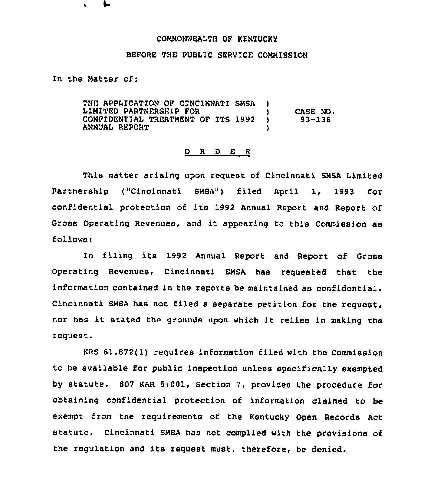## COMMONWEALTH OF KENTUCKY

## BEFORE THE PUBLIC SERVICE COMMISSION

In the Matter of:

THE APPLICATION OF CINCINNATI SMSA LIMITED PARTNERSHIP FOR CONFIDENTIAL TREATMENT OF ITS 1992 ANNUAL REPORT ) ) CASE NO.<br>) 93-136 ) 93-136 )

## 0 <sup>R</sup> <sup>D</sup> <sup>E</sup> <sup>R</sup>

This matter arising upon request of Cincinnati SMSA Limited Partnership ("Cincinnati SMBA") filed April 1, 1993 for confidential protection of its 1992 Annual Report and Report of Gross Operating Revenues, and it appearing to this Commission as follows:

In filing its 1992 Annual Report and Report of Gross Operating Revenues, Cincinnati SMSA has requested that the information contained in the reports be maintained as confidential. Cincinnati SMSA has not filed a separate petition for the request, nor has it stated the grounds upon which it relies in making the request.

KRS 61.872(1) requires information filed with the Commission to be available for public inspection unless specifically exempted by statute. <sup>807</sup> KAR 5:001, Section 7, provides the procedure for obtaining confidential protection of information claimed to be exempt from the requirements of the Kentucky Open Records Act statute. Cincinnati SMSA has not complied with the provisions of the regulation and its request must, therefore, be denied.